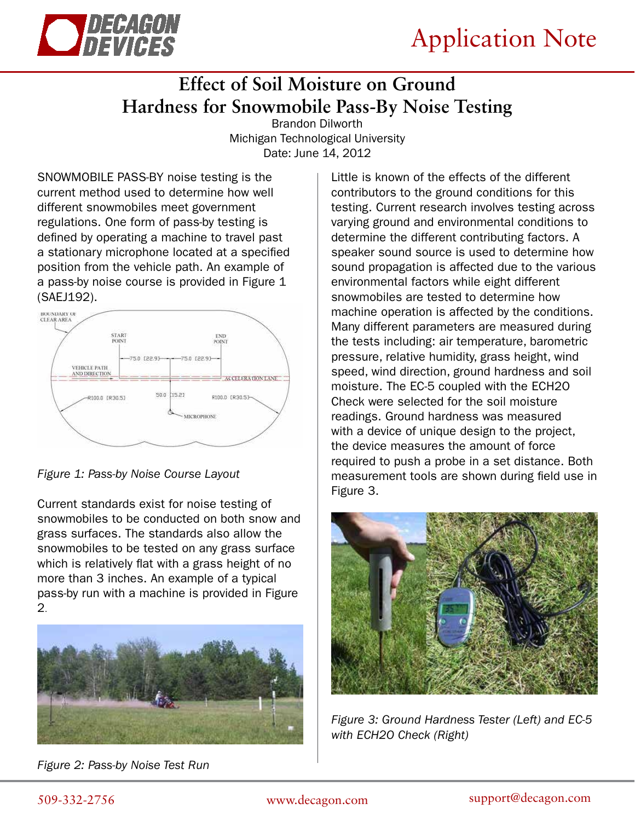

## **Effect of Soil Moisture on Ground Hardness for Snowmobile Pass-By Noise Testing**

Brandon Dilworth Michigan Technological University Date: June 14, 2012

SNOWMOBILE PASS-BY noise testing is the current method used to determine how well different snowmobiles meet government regulations. One form of pass-by testing is defined by operating a machine to travel past a stationary microphone located at a specified position from the vehicle path. An example of a pass-by noise course is provided in Figure 1 (SAEJ192).



*Figure 1: Pass-by Noise Course Layout*

Current standards exist for noise testing of snowmobiles to be conducted on both snow and grass surfaces. The standards also allow the snowmobiles to be tested on any grass surface which is relatively flat with a grass height of no more than 3 inches. An example of a typical pass-by run with a machine is provided in Figure 2.



*Figure 2: Pass-by Noise Test Run*

Little is known of the effects of the different contributors to the ground conditions for this testing. Current research involves testing across varying ground and environmental conditions to determine the different contributing factors. A speaker sound source is used to determine how sound propagation is affected due to the various environmental factors while eight different snowmobiles are tested to determine how machine operation is affected by the conditions. Many different parameters are measured during the tests including: air temperature, barometric pressure, relative humidity, grass height, wind speed, wind direction, ground hardness and soil moisture. The EC-5 coupled with the ECH2O Check were selected for the soil moisture readings. Ground hardness was measured with a device of unique design to the project, the device measures the amount of force required to push a probe in a set distance. Both measurement tools are shown during field use in Figure 3.



*Figure 3: Ground Hardness Tester (Left) and EC-5 with ECH2O Check (Right)*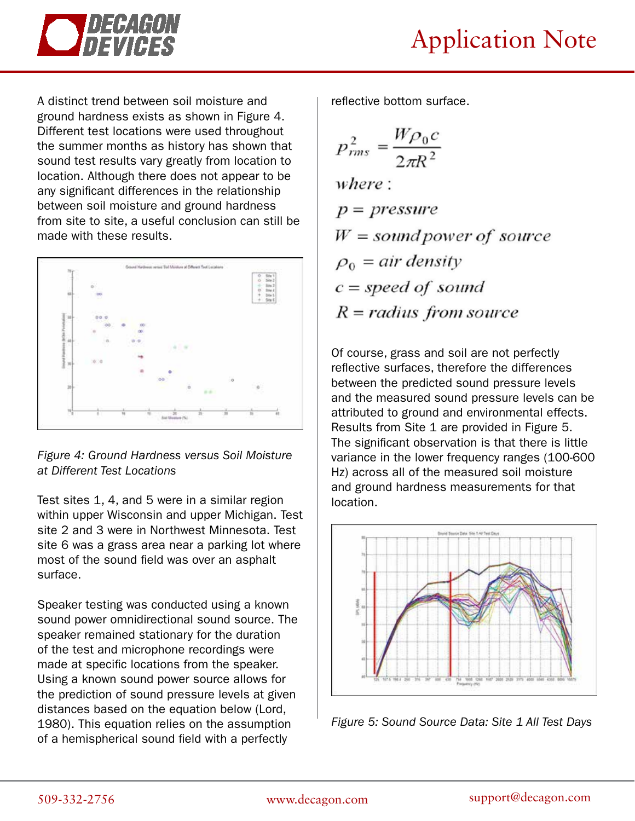

A distinct trend between soil moisture and ground hardness exists as shown in Figure 4. Different test locations were used throughout the summer months as history has shown that sound test results vary greatly from location to location. Although there does not appear to be any significant differences in the relationship between soil moisture and ground hardness from site to site, a useful conclusion can still be made with these results.



*Figure 4: Ground Hardness versus Soil Moisture at Different Test Locations*

Test sites 1, 4, and 5 were in a similar region within upper Wisconsin and upper Michigan. Test site 2 and 3 were in Northwest Minnesota. Test site 6 was a grass area near a parking lot where most of the sound field was over an asphalt surface.

Speaker testing was conducted using a known sound power omnidirectional sound source. The speaker remained stationary for the duration of the test and microphone recordings were made at specific locations from the speaker. Using a known sound power source allows for the prediction of sound pressure levels at given distances based on the equation below (Lord, 1980). This equation relies on the assumption of a hemispherical sound field with a perfectly

reflective bottom surface.

$$
p_{rms}^2 = \frac{W\rho_0 c}{2\pi R^2}
$$

where:  $p = pressure$  $W = sound power of source$  $\rho_0 = air$  density  $c = speed of sound$  $R = radius from source$ 

Of course, grass and soil are not perfectly reflective surfaces, therefore the differences between the predicted sound pressure levels and the measured sound pressure levels can be attributed to ground and environmental effects. Results from Site 1 are provided in Figure 5. The significant observation is that there is little variance in the lower frequency ranges (100-600 Hz) across all of the measured soil moisture and ground hardness measurements for that location.



*Figure 5: Sound Source Data: Site 1 All Test Days*